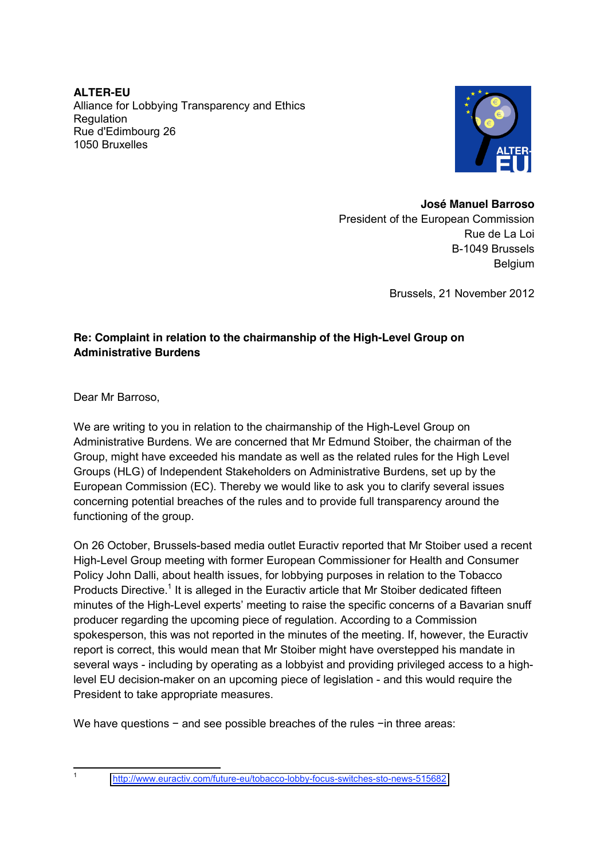**ALTER-EU**  Alliance for Lobbying Transparency and Ethics **Requlation** Rue d'Edimbourg 26 1050 Bruxelles



#### **José Manuel Barroso**

President of the European Commission Rue de La Loi B-1049 Brussels **Belgium** 

Brussels, 21 November 2012

### **Re: Complaint in relation to the chairmanship of the High-Level Group on Administrative Burdens**

Dear Mr Barroso,

We are writing to you in relation to the chairmanship of the High-Level Group on Administrative Burdens. We are concerned that Mr Edmund Stoiber, the chairman of the Group, might have exceeded his mandate as well as the related rules for the High Level Groups (HLG) of Independent Stakeholders on Administrative Burdens, set up by the European Commission (EC). Thereby we would like to ask you to clarify several issues concerning potential breaches of the rules and to provide full transparency around the functioning of the group.

On 26 October, Brussels-based media outlet Euractiv reported that Mr Stoiber used a recent High-Level Group meeting with former European Commissioner for Health and Consumer Policy John Dalli, about health issues, for lobbying purposes in relation to the Tobacco Products Directive.<sup>1</sup> It is alleged in the Euractiv article that Mr Stoiber dedicated fifteen minutes of the High-Level experts' meeting to raise the specific concerns of a Bavarian snuff producer regarding the upcoming piece of regulation. According to a Commission spokesperson, this was not reported in the minutes of the meeting. If, however, the Euractiv report is correct, this would mean that Mr Stoiber might have overstepped his mandate in several ways - including by operating as a lobbyist and providing privileged access to a highlevel EU decision-maker on an upcoming piece of legislation - and this would require the President to take appropriate measures.

We have questions − and see possible breaches of the rules −in three areas:

 <sup>1</sup> <http://www.euractiv.com/future-eu/tobacco-lobby-focus-switches-sto-news-515682>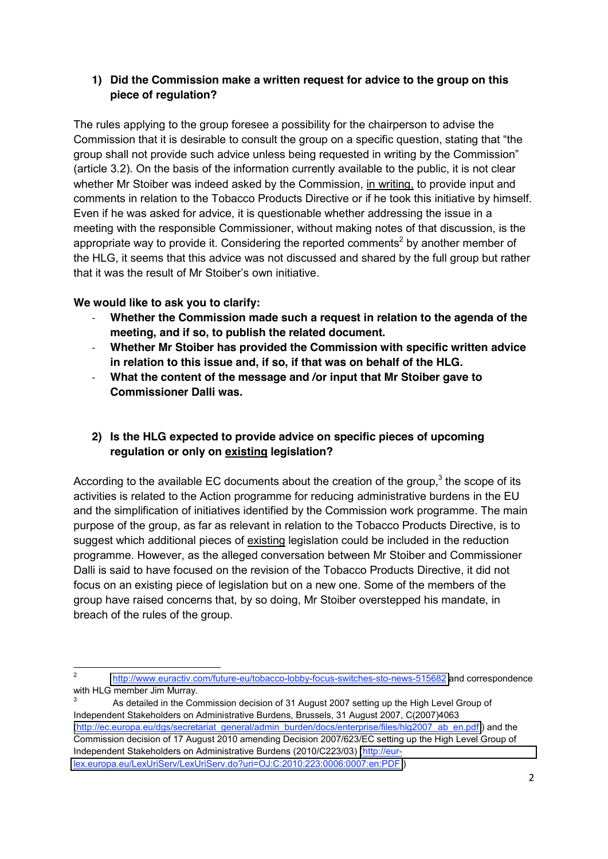### **1) Did the Commission make a written request for advice to the group on this piece of regulation?**

The rules applying to the group foresee a possibility for the chairperson to advise the Commission that it is desirable to consult the group on a specific question, stating that "the group shall not provide such advice unless being requested in writing by the Commission" (article 3.2). On the basis of the information currently available to the public, it is not clear whether Mr Stoiber was indeed asked by the Commission, in writing, to provide input and comments in relation to the Tobacco Products Directive or if he took this initiative by himself. Even if he was asked for advice, it is questionable whether addressing the issue in a meeting with the responsible Commissioner, without making notes of that discussion, is the appropriate way to provide it. Considering the reported comments<sup>2</sup> by another member of the HLG, it seems that this advice was not discussed and shared by the full group but rather that it was the result of Mr Stoiber's own initiative.

### **We would like to ask you to clarify:**

- ‐ **Whether the Commission made such a request in relation to the agenda of the meeting, and if so, to publish the related document.**
- ‐ **Whether Mr Stoiber has provided the Commission with specific written advice in relation to this issue and, if so, if that was on behalf of the HLG.**
- ‐ **What the content of the message and /or input that Mr Stoiber gave to Commissioner Dalli was.**

# **2) Is the HLG expected to provide advice on specific pieces of upcoming regulation or only on existing legislation?**

According to the available EC documents about the creation of the group,<sup>3</sup> the scope of its activities is related to the Action programme for reducing administrative burdens in the EU and the simplification of initiatives identified by the Commission work programme. The main purpose of the group, as far as relevant in relation to the Tobacco Products Directive, is to suggest which additional pieces of existing legislation could be included in the reduction programme. However, as the alleged conversation between Mr Stoiber and Commissioner Dalli is said to have focused on the revision of the Tobacco Products Directive, it did not focus on an existing piece of legislation but on a new one. Some of the members of the group have raised concerns that, by so doing, Mr Stoiber overstepped his mandate, in breach of the rules of the group.

As detailed in the Commission decision of 31 August 2007 setting up the High Level Group of Independent Stakeholders on Administrative Burdens, Brussels, 31 August 2007, C(2007)4063 [\(http://ec.europa.eu/dgs/secretariat\\_general/admin\\_burden/docs/enterprise/files/hlg2007\\_ab\\_en.pdf](http://ec.europa.eu/dgs/secretariat_general/admin_burden/docs/enterprise/files/hlg2007_ab_en.pdf) ) and the Commission decision of 17 August 2010 amending Decision 2007/623/EC setting up the High Level Group of Independent Stakeholders on Administrative Burdens (2010/C223/03) [\(http://eur](http://eur-lex.europa.eu/LexUriServ/LexUriServ.do?uri=OJ:C:2010:223:0006:0007:en:PDF)[lex.europa.eu/LexUriServ/LexUriServ.do?uri=OJ:C:2010:223:0006:0007:en:PDF](http://eur-lex.europa.eu/LexUriServ/LexUriServ.do?uri=OJ:C:2010:223:0006:0007:en:PDF) )

 <sup>2</sup> <http://www.euractiv.com/future-eu/tobacco-lobby-focus-switches-sto-news-515682> and correspondence with HLG member Jim Murray.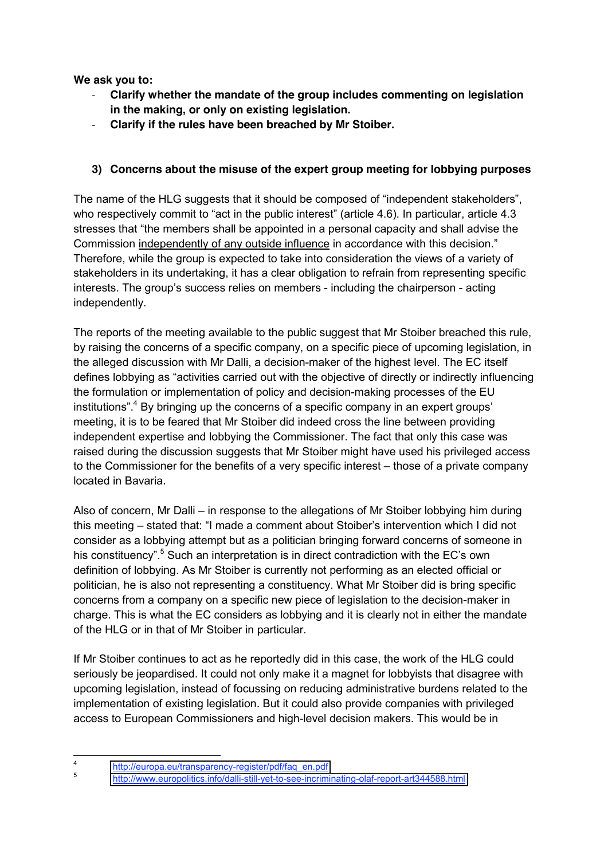**We ask you to:**

- ‐ **Clarify whether the mandate of the group includes commenting on legislation in the making, or only on existing legislation.**
- ‐ **Clarify if the rules have been breached by Mr Stoiber.**

# **3) Concerns about the misuse of the expert group meeting for lobbying purposes**

The name of the HLG suggests that it should be composed of "independent stakeholders", who respectively commit to "act in the public interest" (article 4.6). In particular, article 4.3 stresses that "the members shall be appointed in a personal capacity and shall advise the Commission independently of any outside influence in accordance with this decision." Therefore, while the group is expected to take into consideration the views of a variety of stakeholders in its undertaking, it has a clear obligation to refrain from representing specific interests. The group's success relies on members - including the chairperson - acting independently.

The reports of the meeting available to the public suggest that Mr Stoiber breached this rule, by raising the concerns of a specific company, on a specific piece of upcoming legislation, in the alleged discussion with Mr Dalli, a decision-maker of the highest level. The EC itself defines lobbying as "activities carried out with the objective of directly or indirectly influencing the formulation or implementation of policy and decision-making processes of the EU institutions". <sup>4</sup> By bringing up the concerns of a specific company in an expert groups' meeting, it is to be feared that Mr Stoiber did indeed cross the line between providing independent expertise and lobbying the Commissioner. The fact that only this case was raised during the discussion suggests that Mr Stoiber might have used his privileged access to the Commissioner for the benefits of a very specific interest – those of a private company located in Bavaria.

Also of concern, Mr Dalli – in response to the allegations of Mr Stoiber lobbying him during this meeting – stated that: "I made a comment about Stoiber's intervention which I did not consider as a lobbying attempt but as a politician bringing forward concerns of someone in his constituency".<sup>5</sup> Such an interpretation is in direct contradiction with the EC's own definition of lobbying. As Mr Stoiber is currently not performing as an elected official or politician, he is also not representing a constituency. What Mr Stoiber did is bring specific concerns from a company on a specific new piece of legislation to the decision-maker in charge. This is what the EC considers as lobbying and it is clearly not in either the mandate of the HLG or in that of Mr Stoiber in particular.

If Mr Stoiber continues to act as he reportedly did in this case, the work of the HLG could seriously be jeopardised. It could not only make it a magnet for lobbyists that disagree with upcoming legislation, instead of focussing on reducing administrative burdens related to the implementation of existing legislation. But it could also provide companies with privileged access to European Commissioners and high-level decision makers. This would be in

<sup>4</sup> [http://europa.eu/transparency-register/pdf/faq\\_en.pdf](http://europa.eu/transparency-register/pdf/faq_en.pdf)

<sup>5</sup> <http://www.europolitics.info/dalli-still-yet-to-see-incriminating-olaf-report-art344588.html>